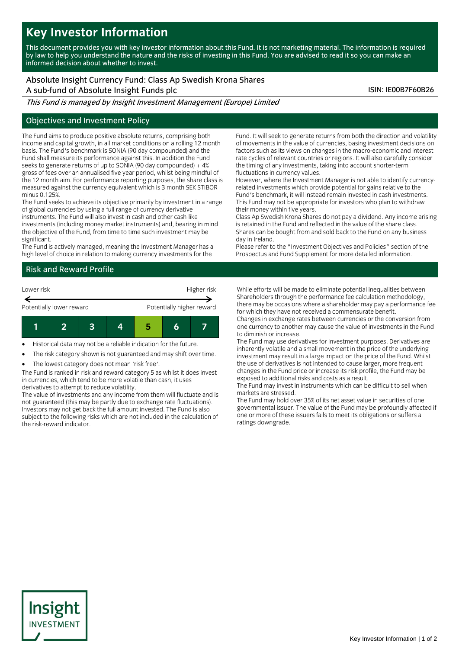# **Key Investor Information**

This document provides you with key investor information about this Fund. It is not marketing material. The information is required by law to help you understand the nature and the risks of investing in this Fund. You are advised to read it so you can make an informed decision about whether to invest.

# Absolute Insight Currency Fund: Class Ap Swedish Krona Shares

A sub-fund of Absolute Insight Funds plc ISIN: IE00B7F60B26

This Fund is managed by Insight Investment Management (Europe) Limited

## Objectives and Investment Policy

The Fund aims to produce positive absolute returns, comprising both income and capital growth, in all market conditions on a rolling 12 month basis. The Fund's benchmark is SONIA (90 day compounded) and the Fund shall measure its performance against this. In addition the Fund seeks to generate returns of up to SONIA (90 day compounded) + 4% gross of fees over an annualised five year period, whilst being mindful of the 12 month aim. For performance reporting purposes, the share class is measured against the currency equivalent which is 3 month SEK STIBOR minus 0.125%.

The Fund seeks to achieve its objective primarily by investment in a range of global currencies by using a full range of currency derivative instruments. The Fund will also invest in cash and other cash-like investments (including money market instruments) and, bearing in mind the objective of the Fund, from time to time such investment may be significant.

The Fund is actively managed, meaning the Investment Manager has a high level of choice in relation to making currency investments for the

# Risk and Reward Profile



- Historical data may not be a reliable indication for the future.
- The risk category shown is not guaranteed and may shift over time.
- The lowest category does not mean 'risk free'.

The Fund is ranked in risk and reward category 5 as whilst it does invest in currencies, which tend to be more volatile than cash, it uses derivatives to attempt to reduce volatility.

The value of investments and any income from them will fluctuate and is not guaranteed (this may be partly due to exchange rate fluctuations). Investors may not get back the full amount invested. The Fund is also subject to the following risks which are not included in the calculation of the risk-reward indicator.

Fund. It will seek to generate returns from both the direction and volatility of movements in the value of currencies, basing investment decisions on factors such as its views on changes in the macro-economic and interest rate cycles of relevant countries or regions. It will also carefully consider the timing of any investments, taking into account shorter-term fluctuations in currency values.

However, where the Investment Manager is not able to identify currencyrelated investments which provide potential for gains relative to the Fund's benchmark, it will instead remain invested in cash investments. This Fund may not be appropriate for investors who plan to withdraw their money within five years.

Class Ap Swedish Krona Shares do not pay a dividend. Any income arising is retained in the Fund and reflected in the value of the share class. Shares can be bought from and sold back to the Fund on any business day in Ireland.

Please refer to the "Investment Objectives and Policies" section of the Prospectus and Fund Supplement for more detailed information.

While efforts will be made to eliminate potential inequalities between Shareholders through the performance fee calculation methodology, there may be occasions where a shareholder may pay a performance fee for which they have not received a commensurate benefit.

Changes in exchange rates between currencies or the conversion from one currency to another may cause the value of investments in the Fund to diminish or increase.

The Fund may use derivatives for investment purposes. Derivatives are inherently volatile and a small movement in the price of the underlying investment may result in a large impact on the price of the Fund. Whilst the use of derivatives is not intended to cause larger, more frequent changes in the Fund price or increase its risk profile, the Fund may be exposed to additional risks and costs as a result.

The Fund may invest in instruments which can be difficult to sell when markets are stressed.

The Fund may hold over 35% of its net asset value in securities of one governmental issuer. The value of the Fund may be profoundly affected if one or more of these issuers fails to meet its obligations or suffers a ratings downgrade.